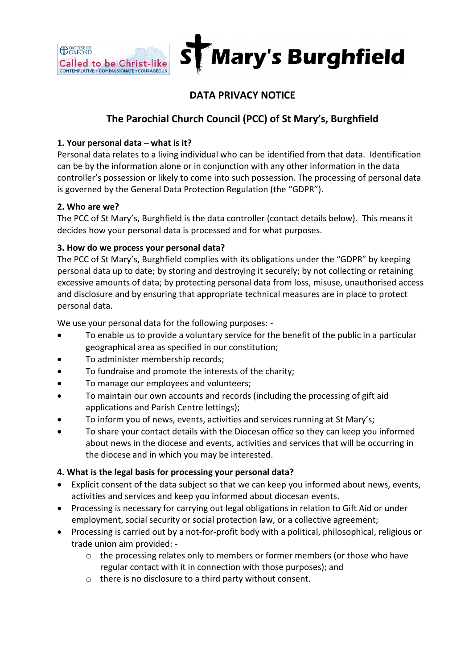

# **DATA PRIVACY NOTICE**

## **The Parochial Church Council (PCC) of St Mary's, Burghfield**

## **1. Your personal data – what is it?**

Personal data relates to a living individual who can be identified from that data. Identification can be by the information alone or in conjunction with any other information in the data controller's possession or likely to come into such possession. The processing of personal data is governed by the General Data Protection Regulation (the "GDPR").

#### **2. Who are we?**

**CONFORD** 

The PCC of St Mary's, Burghfield is the data controller (contact details below). This means it decides how your personal data is processed and for what purposes.

#### **3. How do we process your personal data?**

The PCC of St Mary's, Burghfield complies with its obligations under the "GDPR" by keeping personal data up to date; by storing and destroying it securely; by not collecting or retaining excessive amounts of data; by protecting personal data from loss, misuse, unauthorised access and disclosure and by ensuring that appropriate technical measures are in place to protect personal data.

We use your personal data for the following purposes: -

- To enable us to provide a voluntary service for the benefit of the public in a particular geographical area as specified in our constitution;
- To administer membership records;
- To fundraise and promote the interests of the charity;
- To manage our employees and volunteers;
- To maintain our own accounts and records (including the processing of gift aid applications and Parish Centre lettings);
- To inform you of news, events, activities and services running at St Mary's;
- To share your contact details with the Diocesan office so they can keep you informed about news in the diocese and events, activities and services that will be occurring in the diocese and in which you may be interested.

## **4. What is the legal basis for processing your personal data?**

- Explicit consent of the data subject so that we can keep you informed about news, events, activities and services and keep you informed about diocesan events.
- Processing is necessary for carrying out legal obligations in relation to Gift Aid or under employment, social security or social protection law, or a collective agreement;
- Processing is carried out by a not-for-profit body with a political, philosophical, religious or trade union aim provided: -
	- $\circ$  the processing relates only to members or former members (or those who have regular contact with it in connection with those purposes); and
	- o there is no disclosure to a third party without consent.